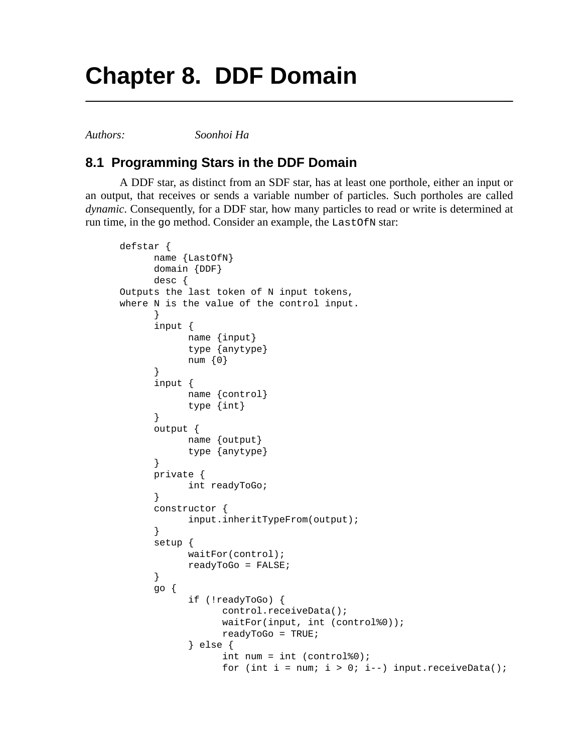## **Chapter 8. DDF Domain**

*Authors: Soonhoi Ha*

## **8.1 Programming Stars in the DDF Domain**

A DDF star, as distinct from an SDF star, has at least one porthole, either an input or an output, that receives or sends a variable number of particles. Such portholes are called *dynamic*. Consequently, for a DDF star, how many particles to read or write is determined at run time, in the go method. Consider an example, the LastOfN star:

```
defstar {
      name {LastOfN}
      domain {DDF}
      desc {
Outputs the last token of N input tokens,
where N is the value of the control input.
      }
      input {
            name {input}
            type {anytype}
            num {0}
      }
      input {
            name {control}
            type {int}
      }
      output {
            name {output}
            type {anytype}
      }
      private {
            int readyToGo;
      }
      constructor {
            input.inheritTypeFrom(output);
      }
      setup {
            waitFor(control);
            readyToGo = FALSE;
      }
      go {
            if (!readyToGo) {
                   control.receiveData();
                  waitFor(input, int (control%0));
                  readyToGo = TRUE;
            } else {
                   int num = int (control%0);
                   for (int i = num; i > 0; i--) input.receiveData();
```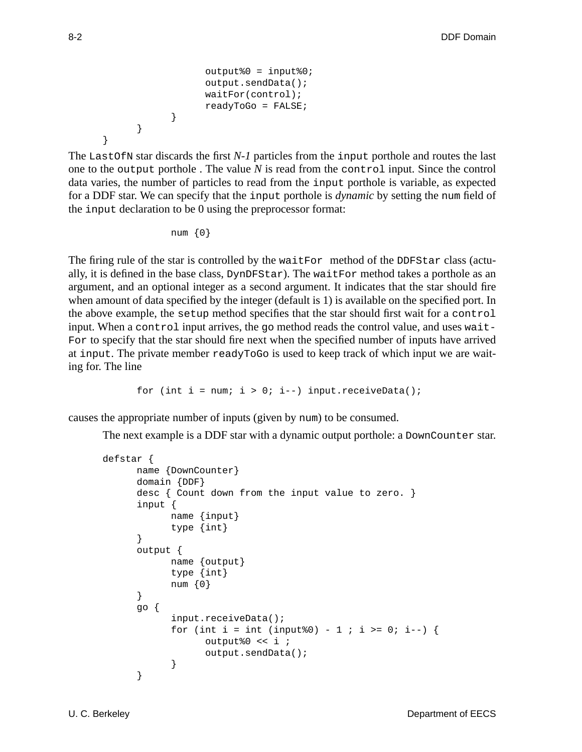```
output%0 = input%0;
            output.sendData();
            waitFor(control);
            readyToGo = FALSE;
      }
}
```
The LastOfN star discards the first *N-1* particles from the input porthole and routes the last one to the output porthole . The value *N* is read from the control input. Since the control data varies, the number of particles to read from the input porthole is variable, as expected for a DDF star. We can specify that the input porthole is *dynamic* by setting the num field of the input declaration to be 0 using the preprocessor format:

num {0}

The firing rule of the star is controlled by the waitFor method of the DDFStar class (actually, it is defined in the base class, DynDFStar). The waitFor method takes a porthole as an argument, and an optional integer as a second argument. It indicates that the star should fire when amount of data specified by the integer (default is 1) is available on the specified port. In the above example, the setup method specifies that the star should first wait for a control input. When a control input arrives, the go method reads the control value, and uses wait-For to specify that the star should fire next when the specified number of inputs have arrived at input. The private member readyToGo is used to keep track of which input we are waiting for. The line

for (int i = num;  $i > 0$ ; i--) input.receiveData();

causes the appropriate number of inputs (given by num) to be consumed.

The next example is a DDF star with a dynamic output porthole: a DownCounter star.

```
defstar {
      name {DownCounter}
      domain {DDF}
      desc { Count down from the input value to zero. }
      input {
            name {input}
            type {int}
      }
      output {
            name {output}
            type {int}
            num {0}
      }
      go {
            input.receiveData();
            for (int i = int (input%0) - 1 ; i >= 0; i--) {
                  output%0 << i ;
                  output.sendData();
            }
      }
```
}